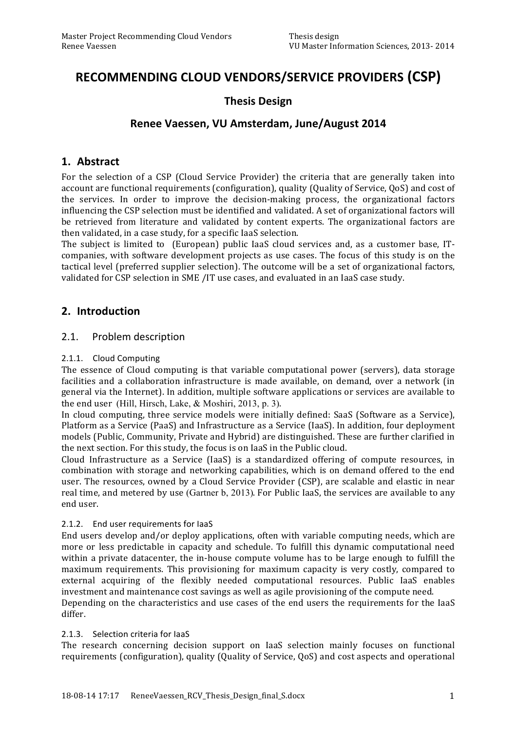# RECOMMENDING CLOUD VENDORS/SERVICE PROVIDERS (CSP)

# **Thesis\*Design**

# Renee Vaessen, VU Amsterdam, June/August 2014

# **1. Abstract**

For the selection of a CSP (Cloud Service Provider) the criteria that are generally taken into account are functional requirements (configuration), quality (Quality of Service, QoS) and cost of the services. In order to improve the decision-making process, the organizational factors influencing the CSP selection must be identified and validated. A set of organizational factors will be retrieved from literature and validated by content experts. The organizational factors are then validated, in a case study, for a specific IaaS selection.

The subject is limited to (European) public IaaS cloud services and, as a customer base, ITcompanies, with software development projects as use cases. The focus of this study is on the tactical level (preferred supplier selection). The outcome will be a set of organizational factors, validated for CSP selection in SME /IT use cases, and evaluated in an IaaS case study.

# **2. Introduction**

### 2.1. Problem description

### 2.1.1. Cloud Computing

The essence of Cloud computing is that variable computational power (servers), data storage facilities and a collaboration infrastructure is made available, on demand, over a network (in general via the Internet). In addition, multiple software applications or services are available to the end user (Hill, Hirsch, Lake, & Moshiri, 2013, p. 3).

In cloud computing, three service models were initially defined: SaaS (Software as a Service), Platform as a Service (PaaS) and Infrastructure as a Service (IaaS). In addition, four deployment models (Public, Community, Private and Hybrid) are distinguished. These are further clarified in the next section. For this study, the focus is on IaaS in the Public cloud.

Cloud Infrastructure as a Service (IaaS) is a standardized offering of compute resources, in combination' with storage and networking capabilities, which is on demand offered to the end user. The resources, owned by a Cloud Service Provider (CSP), are scalable and elastic in near real time, and metered by use (Gartner b, 2013). For Public IaaS, the services are available to any end'user.

### 2.1.2. End user requirements for laaS

End users develop and/or deploy applications, often with variable computing needs, which are more or less predictable in capacity and schedule. To fulfill this dynamic computational need within' a private datacenter, the in-house compute volume has to be large enough to fulfill the maximum requirements. This provisioning for maximum capacity is very costly, compared to external acquiring of the flexibly needed computational resources. Public IaaS enables investment and maintenance cost savings as well as agile provisioning of the compute need. Depending on the characteristics and use cases of the end users the requirements for the IaaS differ.

### 2.1.3. Selection criteria for IaaS

The research concerning decision support on IaaS selection mainly focuses on functional requirements (configuration), quality (Quality of Service, QoS) and cost aspects and operational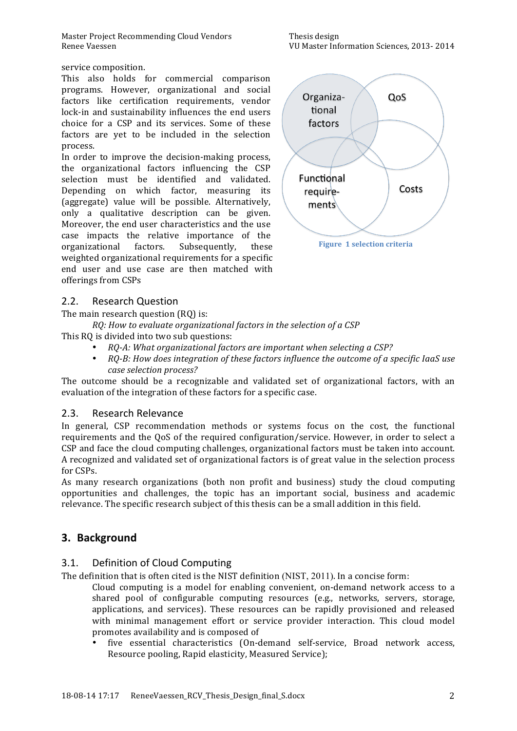Master Project Recommending Cloud Vendors Thesis design Renee'Vaessen VU'Master'Information'Sciences,'2013A'2014

service composition.

This also holds for commercial comparison programs. However, organizational and social factors like certification requirements, vendor lock-in and sustainability influences the end users choice for a CSP and its services. Some of these factors are yet to be included in the selection process.'

In order to improve the decision-making process, the organizational' factors' influencing' the' CSP' selection must be identified and validated. Depending on which factor, measuring its (aggregate) value will be possible. Alternatively, only a qualitative description can be given. Moreover, the end user characteristics and the use case impacts the relative importance of the organizational factors. Subsequently, these weighted organizational requirements for a specific end user and use case are then matched with offerings from CSPs

Organiza-QoS tional factors Functional Costs requirements

**Figure 1 selection criteria** 

### 2.2. Research Question

The main research question (RQ) is:

*RQ: How to evaluate organizational factors in the selection of a CSP* This RQ is divided into two sub questions:

- *RQ:A:\$What\$organizational\$factors\$are\$important\$when\$selecting\$a CSP?*
- $RQ-B$ : How does integration of these factors influence the outcome of a specific IaaS use case selection process?

The outcome should be a recognizable and validated set of organizational factors, with an evaluation of the integration of these factors for a specific case.

### 2.3. Research Relevance

In general, CSP recommendation methods or systems focus on the cost, the functional requirements and the QoS of the required configuration/service. However, in order to select a CSP and face the cloud computing challenges, organizational factors must be taken into account. A recognized and validated set of organizational factors is of great value in the selection process for CSPs.

As many research organizations (both non profit and business) study the cloud computing opportunities and challenges, the topic has an important social, business and academic relevance. The specific research subject of this thesis can be a small addition in this field.

### **3. Background**

### 3.1. Definition of Cloud Computing

The definition that is often cited is the NIST definition (NIST, 2011). In a concise form:

Cloud computing is a model for enabling convenient, on-demand network access to a shared pool of configurable computing resources (e.g., networks, servers, storage, applications, and services). These resources can be rapidly provisioned and released with minimal management effort or service provider interaction. This cloud model promotes availability and is composed of

five essential characteristics (On-demand self-service, Broad network access, Resource pooling, Rapid elasticity, Measured Service);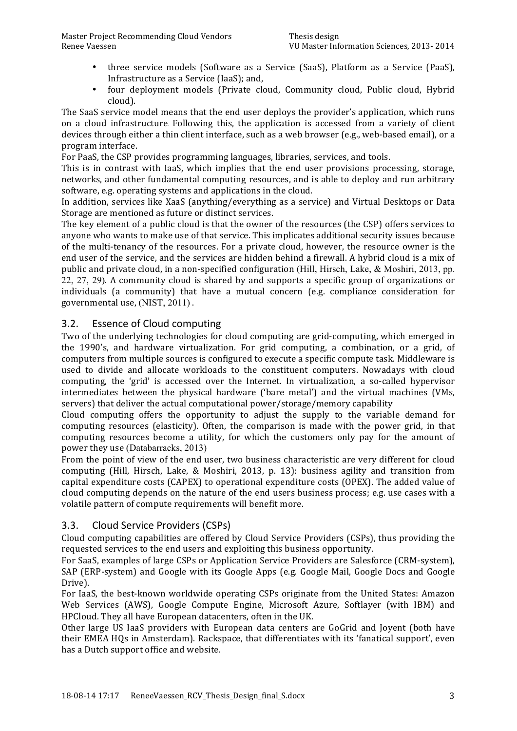- three service models (Software as a Service (SaaS), Platform as a Service (PaaS), Infrastructure as a Service (IaaS); and,
- four deployment models (Private cloud, Community cloud, Public cloud, Hybrid cloud).

The SaaS service model means that the end user deploys the provider's application, which runs on a cloud infrastructure. Following this, the application is accessed from a variety of client devices through either a thin client interface, such as a web browser (e.g., web-based email), or a program'interface.

For PaaS, the CSP provides programming languages, libraries, services, and tools.

This is in contrast with IaaS, which implies that the end user provisions processing, storage, networks, and other fundamental computing resources, and is able to deploy and run arbitrary software, e.g. operating systems and applications in the cloud.

In addition, services like XaaS (anything/everything as a service) and Virtual Desktops or Data Storage are mentioned as future or distinct services.

The key element of a public cloud is that the owner of the resources (the CSP) offers services to anyone who wants to make use of that service. This implicates additional security issues because of the multi-tenancy of the resources. For a private cloud, however, the resource owner is the end user of the service, and the services are hidden behind a firewall. A hybrid cloud is a mix of public and private cloud, in a non-specified configuration (Hill, Hirsch, Lake, & Moshiri, 2013, pp. 22, 27, 29). A community cloud is shared by and supports a specific group of organizations or individuals (a community) that have a mutual concern (e.g. compliance consideration for governmental use, (NIST, 2011).

### 3.2. Essence of Cloud computing

Two of the underlying technologies for cloud computing are grid-computing, which emerged in the 1990's, and hardware virtualization. For grid computing, a combination, or a grid, of computers from multiple sources is configured to execute a specific compute task. Middleware is used to divide and allocate workloads to the constituent computers. Nowadays with cloud computing, the 'grid' is accessed over the Internet. In virtualization, a so-called hypervisor intermediates' between' the physical hardware ('bare' metal') and the virtual machines (VMs, servers) that deliver the actual computational power/storage/memory capability

Cloud computing offers the opportunity to adjust the supply to the variable demand for computing resources (elasticity). Often, the comparison is made with the power grid, in that computing resources become a utility, for which the customers only pay for the amount of power they use (Databarracks, 2013)

From the point of view of the end user, two business characteristic are very different for cloud computing (Hill, Hirsch, Lake, & Moshiri, 2013, p. 13): business agility and transition from capital expenditure costs (CAPEX) to operational expenditure costs (OPEX). The added value of cloud computing depends on the nature of the end users business process; e.g. use cases with a volatile pattern of compute requirements will benefit more.

### 3.3. Cloud Service Providers (CSPs)

Cloud computing capabilities are offered by Cloud Service Providers (CSPs), thus providing the requested services to the end users and exploiting this business opportunity.

For SaaS, examples of large CSPs or Application Service Providers are Salesforce (CRM-system). SAP (ERP-system) and Google with its Google Apps (e.g. Google Mail, Google Docs and Google Drive).

For IaaS, the best-known worldwide operating CSPs originate from the United States: Amazon Web Services (AWS), Google Compute Engine, Microsoft Azure, Softlayer (with IBM) and HPCloud. They all have European datacenters, often in the UK.

Other large US IaaS providers with European data centers are GoGrid and Joyent (both have their EMEA HQs in Amsterdam). Rackspace, that differentiates with its 'fanatical support', even has a Dutch support office and website.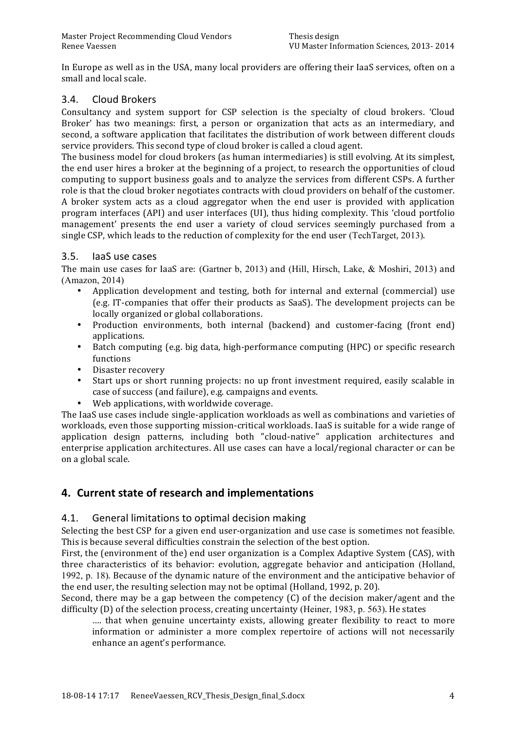In Europe as well as in the USA, many local providers are offering their IaaS services, often on a small and local scale.

# 3.4. Cloud+Brokers

Consultancy and system support for CSP selection is the specialty of cloud brokers. 'Cloud' Broker' has two meanings: first, a person or organization that acts as an intermediary, and second, a software application that facilitates the distribution of work between different clouds service providers. This second type of cloud broker is called a cloud agent.

The business model for cloud brokers (as human intermediaries) is still evolving. At its simplest, the end user hires a broker at the beginning of a project, to research the opportunities of cloud computing to support business goals and to analyze the services from different CSPs. A further role is that the cloud broker negotiates contracts with cloud providers on behalf of the customer. A broker system acts as a cloud aggregator when the end user is provided with application program interfaces (API) and user interfaces (UI), thus hiding complexity. This 'cloud portfolio' management' presents the end user a variety of cloud services seemingly purchased from a single CSP, which leads to the reduction of complexity for the end user (TechTarget, 2013).

### 3.5. IaaS use cases

The main use cases for IaaS are: (Gartner b, 2013) and (Hill, Hirsch, Lake, & Moshiri, 2013) and (Amazon, 2014)

- Application' development and testing, both for internal and external (commercial) use (e.g. IT-companies that offer their products as SaaS). The development projects can be locally organized or global collaborations.
- Production environments, both internal (backend) and customer-facing (front end) applications.
- Batch computing (e.g. big data, high-performance computing (HPC) or specific research functions
- Disaster recovery
- Start ups or short running projects: no up front investment required, easily scalable in case of success (and failure), e.g. campaigns and events.
- Web applications, with worldwide coverage.

The IaaS use cases include single-application workloads as well as combinations and varieties of workloads, even those supporting mission-critical workloads. IaaS is suitable for a wide range of application design patterns, including both "cloud-native" application architectures and enterprise application architectures. All use cases can have a local/regional character or can be on a global scale.

# **4. Current state of research and implementations**

### 4.1. General limitations to optimal decision making

Selecting the best CSP for a given end user-organization and use case is sometimes not feasible. This is because several difficulties constrain the selection of the best option.

First, the (environment of the) end user organization is a Complex Adaptive System (CAS), with three characteristics of its behavior: evolution, aggregate behavior and anticipation (Holland, 1992, p. 18). Because of the dynamic nature of the environment and the anticipative behavior of the end user, the resulting selection may not be optimal (Holland, 1992, p. 20).

Second, there may be a gap between the competency  $(C)$  of the decision maker/agent and the difficulty  $(D)$  of the selection process, creating uncertainty (Heiner, 1983, p. 563). He states

.... that when genuine uncertainty exists, allowing greater flexibility to react to more information or administer a more complex repertoire of actions will not necessarily enhance an agent's performance.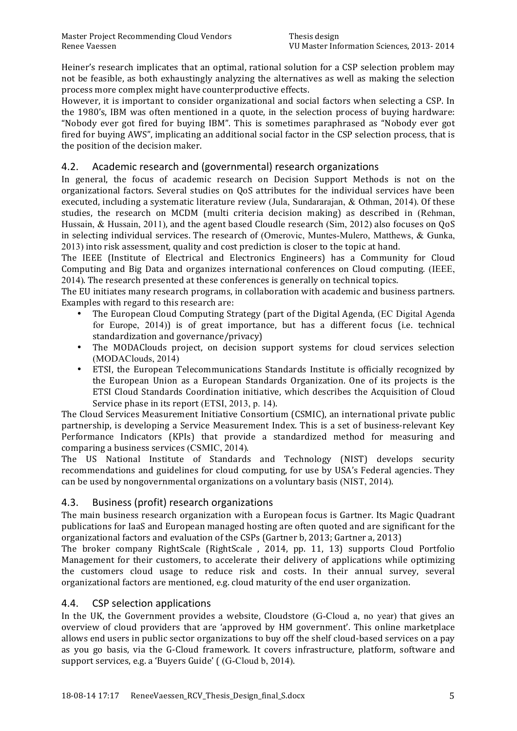Heiner's research implicates that an optimal, rational solution for a CSP selection problem may not be feasible, as both exhaustingly analyzing the alternatives as well as making the selection process more complex might have counterproductive effects.

However, it is important to consider organizational and social factors when selecting a CSP. In the 1980's, IBM was often mentioned in a quote, in the selection process of buying hardware: "Nobody ever got fired for buying IBM". This is sometimes paraphrased as "Nobody ever got fired for buying AWS", implicating an additional social factor in the CSP selection process, that is the position of the decision maker.

# 4.2. Academic research and (governmental) research organizations

In general, the focus of academic research on Decision Support Methods is not on the organizational factors. Several studies on QoS attributes for the individual services have been executed, including a systematic literature review (Jula, Sundararajan,  $&$  Othman, 2014). Of these studies, the research on MCDM (multi criteria decision making) as described in (Rehman, Hussain, & Hussain, 2011), and the agent based Cloudle research (Sim, 2012) also focuses on OoS in selecting individual services. The research of (Omerovic, Muntes-Mulero, Matthews, & Gunka, 2013) into risk assessment, quality and cost prediction is closer to the topic at hand.

The IEEE (Institute of Electrical and Electronics' Engineers) has a Community for Cloud Computing and Big Data and organizes international conferences on Cloud computing. (IEEE, 2014). The research presented at these conferences is generally on technical topics.

The EU initiates many research programs, in collaboration with academic and business partners. Examples with regard to this research are:

- The European Cloud Computing Strategy (part of the Digital Agenda, (EC Digital Agenda for Europe, 2014)) is of great importance, but has a different focus (i.e. technical standardization and governance/privacy)
- The MODAClouds project, on decision support systems for cloud services selection (MODAClouds, 2014)
- ETSI, the European Telecommunications Standards Institute is officially recognized by the European' Union as a European Standards Organization. One of its projects is the ETSI Cloud Standards Coordination initiative, which describes the Acquisition of Cloud Service phase in its report (ETSI, 2013, p. 14).

The Cloud Services Measurement Initiative Consortium (CSMIC), an international private public partnership, is developing a Service Measurement Index. This is a set of business-relevant Key Performance Indicators (KPIs) that provide a standardized method for measuring and comparing a business services (CSMIC, 2014).

The US National Institute of Standards and Technology (NIST) develops security recommendations and guidelines for cloud computing, for use by USA's Federal agencies. They can be used by nongovernmental organizations on a voluntary basis (NIST, 2014).

### 4.3. Business (profit) research organizations

The main business research organization with a European focus is Gartner. Its Magic Quadrant' publications for IaaS and European managed hosting are often quoted and are significant for the organizational factors and evaluation of the CSPs (Gartner b, 2013; Gartner a, 2013)

The broker company RightScale (RightScale, 2014, pp. 11, 13) supports Cloud Portfolio Management for their customers, to accelerate their delivery of applications while optimizing the customers cloud usage to reduce risk and costs. In their annual survey, several organizational factors are mentioned, e.g. cloud maturity of the end user organization.

### 4.4. CSP selection applications

In the UK, the Government provides a website, Cloudstore (G-Cloud a, no year) that gives an overview of cloud providers that are 'approved by HM government'. This online marketplace allows end users in public sector organizations to buy off the shelf cloud-based services on a pay as you go basis, via the G-Cloud framework. It covers infrastructure, platform, software and support services, e.g. a 'Buyers Guide' ( (G-Cloud b, 2014).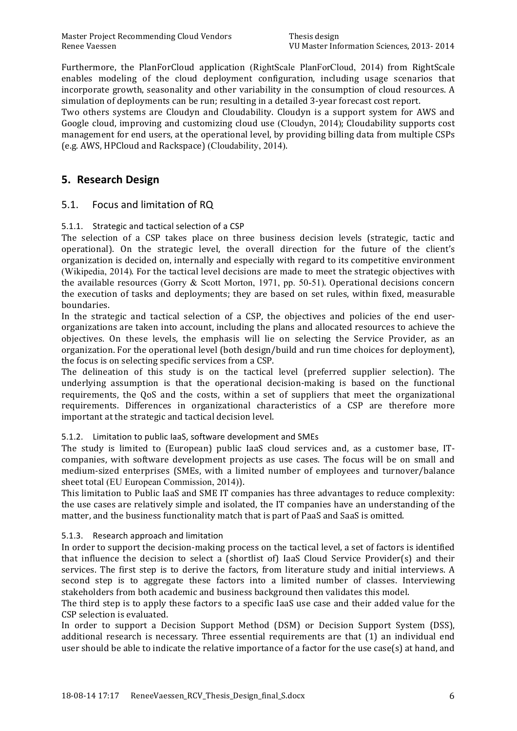Furthermore, the PlanForCloud application (RightScale PlanForCloud, 2014) from RightScale enables modeling of the cloud deployment configuration, including usage scenarios that incorporate growth, seasonality and other variability in the consumption of cloud resources. A simulation of deployments can be run; resulting in a detailed 3-year forecast cost report.

Two others systems are Cloudyn and Cloudability. Cloudyn is a support system for AWS and Google cloud, improving and customizing cloud use (Cloudyn, 2014); Cloudability supports cost management for end users, at the operational level, by providing billing data from multiple CSPs (e.g. AWS, HPCloud and Rackspace) (Cloudability, 2014).

# **5. Research\*Design**

# 5.1. Focus and limitation of RQ

### 5.1.1. Strategic and tactical selection of a CSP

The selection of a CSP takes place on three business decision levels (strategic, tactic and operational). On the strategic level, the overall direction for the future of the client's organization is decided on, internally and especially with regard to its competitive environment (Wikipedia, 2014). For the tactical level decisions are made to meet the strategic objectives with the available resources (Gorry  $&$  Scott Morton, 1971, pp. 50-51). Operational decisions concern the execution of tasks and deployments; they are based on set rules, within fixed, measurable boundaries.

In the strategic and tactical selection of a CSP, the objectives and policies of the end userorganizations are taken into account, including the plans and allocated resources to achieve the objectives. On these levels, the emphasis will lie on selecting the Service Provider, as an organization. For the operational level (both design/build and run time choices for deployment), the focus is on selecting specific services from a CSP.

The delineation of this study is on the tactical level (preferred supplier selection). The underlying assumption is that the operational decision-making is based on the functional requirements, the OoS and the costs, within a set of suppliers that meet the organizational requirements. Differences in organizational characteristics of a CSP are therefore more important at the strategic and tactical decision level.

### 5.1.2. Limitation to public laaS, software development and SMEs

The study is limited to (European) public IaaS cloud services and, as a customer base, ITcompanies, with software development projects as use cases. The focus will be on small and medium-sized enterprises (SMEs, with a limited number of employees and turnover/balance sheet total (EU European Commission, 2014)).

This limitation to Public IaaS and SME IT companies has three advantages to reduce complexity: the use cases are relatively simple and isolated, the IT companies have an understanding of the matter, and the business functionality match that is part of PaaS and SaaS is omitted.

### 5.1.3. Research approach and limitation

In order to support the decision-making process on the tactical level, a set of factors is identified that influence the decision to select a (shortlist of) laaS Cloud Service Provider(s) and their services. The first step is to derive the factors, from literature study and initial interviews. A second step is to aggregate these factors into a limited number of classes. Interviewing stakeholders'from'both'academic'and'business'background'then'validates'this'model.

The third step is to apply these factors to a specific IaaS use case and their added value for the CSP selection is evaluated.

In order to support a Decision Support Method (DSM) or Decision Support System (DSS), additional research is necessary. Three essential requirements are that (1) an individual end user's hould'be able to indicate the relative importance of a factor for the use case(s) at hand, and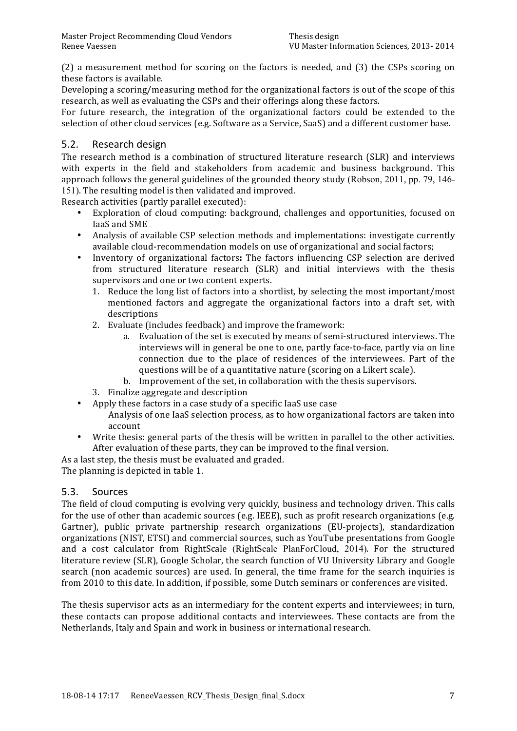$(2)$  a measurement method for scoring on the factors is needed, and  $(3)$  the CSPs scoring on these factors is available.

Developing a scoring/measuring method for the organizational factors is out of the scope of this research, as well as evaluating the CSPs and their offerings along these factors.

For future research, the integration of the organizational factors could be extended to the selection of other cloud services (e.g. Software as a Service, SaaS) and a different customer base.

### 5.2. Research design

The research method is a combination of structured literature research (SLR) and interviews with experts in the field and stakeholders from academic and business background. This approach follows the general guidelines of the grounded theory study (Robson, 2011, pp. 79, 146-151). The resulting model is then validated and improved.

Research activities (partly parallel executed):

- Exploration of cloud computing: background, challenges and opportunities, focused on IaaS and SME
- Analysis of available CSP selection methods and implementations: investigate currently available cloud-recommendation models on use of organizational and social factors;
- Inventory of organizational factors: The factors influencing CSP selection are derived from structured literature research (SLR) and initial interviews with the thesis supervisors and one or two content experts.
	- 1. Reduce the long list of factors into a shortlist, by selecting the most important/most mentioned factors and aggregate the organizational factors into a draft set, with descriptions
	- 2. Evaluate (includes feedback) and improve the framework:
		- a. Evaluation of the set is executed by means of semi-structured interviews. The interviews will in general be one to one, partly face-to-face, partly via on line connection due to the place of residences of the interviewees. Part of the questions will be of a quantitative nature (scoring on a Likert scale).
		- b. Improvement of the set, in collaboration with the thesis supervisors.
	- 3. Finalize aggregate and description
- Apply these factors in a case study of a specific laaS use case
	- Analysis of one IaaS selection process, as to how organizational factors are taken into account
- Write thesis: general parts of the thesis will be written in parallel to the other activities. After evaluation of these parts, they can be improved to the final version.

As a last step, the thesis must be evaluated and graded.

The planning is depicted in table 1.

### 5.3. Sources

The field of cloud computing is evolving very quickly, business and technology driven. This calls for the use of other than academic sources (e.g. IEEE), such as profit research organizations (e.g. Gartner), public private partnership research organizations (EU-projects), standardization organizations (NIST, ETSI) and commercial sources, such as YouTube presentations from Google and a cost calculator from RightScale (RightScale PlanForCloud, 2014). For the structured literature review (SLR), Google Scholar, the search function of VU University Library and Google search (non academic sources) are used. In general, the time frame for the search inquiries is from 2010 to this date. In addition, if possible, some Dutch seminars or conferences are visited.

The thesis supervisor acts as an intermediary for the content experts and interviewees; in turn, these' contacts' can' propose' additional' contacts' and'interviewees.'These' contacts' are'from' the' Netherlands, Italy and Spain and work in business or international research.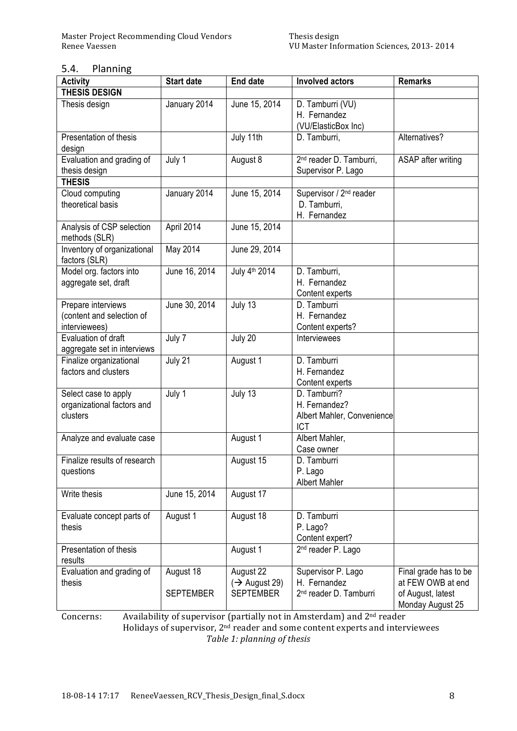### 5.4. Planning

| <b>Activity</b>                                                  | <b>Start date</b>             | <b>End date</b>                                            | <b>Involved actors</b>                                                   | <b>Remarks</b>                                                                      |
|------------------------------------------------------------------|-------------------------------|------------------------------------------------------------|--------------------------------------------------------------------------|-------------------------------------------------------------------------------------|
| <b>THESIS DESIGN</b>                                             |                               |                                                            |                                                                          |                                                                                     |
| Thesis design                                                    | January 2014                  | June 15, 2014                                              | D. Tamburri (VU)<br>H. Fernandez<br>(VU/ElasticBox Inc)                  |                                                                                     |
| Presentation of thesis<br>design                                 |                               | July 11th                                                  | D. Tamburri,                                                             | Alternatives?                                                                       |
| Evaluation and grading of<br>thesis design                       | July 1                        | August 8                                                   | 2 <sup>nd</sup> reader D. Tamburri,<br>Supervisor P. Lago                | ASAP after writing                                                                  |
| <b>THESIS</b>                                                    |                               |                                                            |                                                                          |                                                                                     |
| Cloud computing<br>theoretical basis                             | January 2014                  | June 15, 2014                                              | Supervisor / 2 <sup>nd</sup> reader<br>D. Tamburri,<br>H. Fernandez      |                                                                                     |
| Analysis of CSP selection<br>methods (SLR)                       | April 2014                    | June 15, 2014                                              |                                                                          |                                                                                     |
| Inventory of organizational<br>factors (SLR)                     | May 2014                      | June 29, 2014                                              |                                                                          |                                                                                     |
| Model org. factors into<br>aggregate set, draft                  | June 16, 2014                 | July 4 <sup>th</sup> 2014                                  | D. Tamburri,<br>H. Fernandez<br>Content experts                          |                                                                                     |
| Prepare interviews<br>(content and selection of<br>interviewees) | June 30, 2014                 | July 13                                                    | D. Tamburri<br>H. Fernandez<br>Content experts?                          |                                                                                     |
| Evaluation of draft<br>aggregate set in interviews               | July 7                        | July 20                                                    | Interviewees                                                             |                                                                                     |
| Finalize organizational<br>factors and clusters                  | July 21                       | August 1                                                   | D. Tamburri<br>H. Fernandez<br>Content experts                           |                                                                                     |
| Select case to apply<br>organizational factors and<br>clusters   | July 1                        | July 13                                                    | D. Tamburri?<br>H. Fernandez?<br>Albert Mahler, Convenience<br>ICT       |                                                                                     |
| Analyze and evaluate case                                        |                               | August 1                                                   | Albert Mahler,<br>Case owner                                             |                                                                                     |
| Finalize results of research<br>questions                        |                               | August 15                                                  | D. Tamburri<br>P. Lago<br><b>Albert Mahler</b>                           |                                                                                     |
| Write thesis                                                     | June 15, 2014                 | August 17                                                  |                                                                          |                                                                                     |
| Evaluate concept parts of<br>thesis                              | August 1                      | August 18                                                  | D. Tamburri<br>P. Lago?<br>Content expert?                               |                                                                                     |
| Presentation of thesis<br>results                                |                               | August 1                                                   | 2 <sup>nd</sup> reader P. Lago                                           |                                                                                     |
| Evaluation and grading of<br>thesis                              | August 18<br><b>SEPTEMBER</b> | August 22<br>$(\rightarrow$ August 29)<br><b>SEPTEMBER</b> | Supervisor P. Lago<br>H. Fernandez<br>2 <sup>nd</sup> reader D. Tamburri | Final grade has to be<br>at FEW OWB at end<br>of August, latest<br>Monday August 25 |

Concerns: Availability of supervisor (partially not in Amsterdam) and 2<sup>nd</sup> reader Holidays of supervisor, 2<sup>nd</sup> reader and some content experts and interviewees **Table 1: planning of thesis**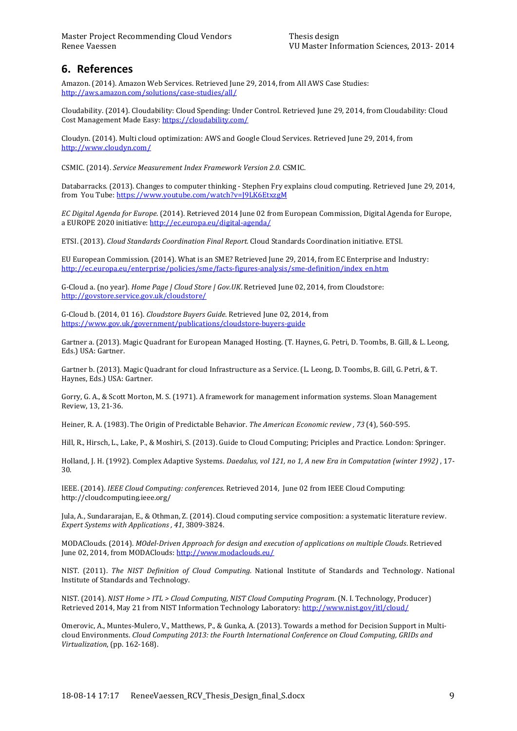# **6. References**

Amazon. (2014). Amazon Web Services. Retrieved June 29, 2014, from All AWS Case Studies: http://aws.amazon.com/solutions/case-studies/all/

Cloudability. (2014). Cloudability: Cloud Spending: Under Control. Retrieved June 29, 2014, from Cloudability: Cloud Cost Management Made Easy: https://cloudability.com/

Cloudyn. (2014). Multi cloud optimization: AWS and Google Cloud Services. Retrieved June 29, 2014, from http://www.cloudyn.com/

CSMIC. (2014). *Service Measurement Index Framework Version 2.0.* CSMIC.

Databarracks. (2013). Changes to computer thinking - Stephen Fry explains cloud computing. Retrieved June 29, 2014, from You Tube: https://www.youtube.com/watch?v=J9LK6EtxzgM

*EC Digital Agenda for Europe.* (2014). Retrieved 2014 June 02 from European Commission, Digital Agenda for Europe, a EUROPE 2020 initiative: http://ec.europa.eu/digital-agenda/

ETSI. (2013). *Cloud Standards Coordination Final Report.* Cloud Standards Coordination initiative. ETSI.

EU European Commission. (2014). What is an SME? Retrieved June 29, 2014, from EC Enterprise and Industry: http://ec.europa.eu/enterprise/policies/sme/facts-figures-analysis/sme-definition/index\_en.htm

G-Cloud a. (no year). *Home Page | Cloud Store | Gov.UK*. Retrieved June 02, 2014, from Cloudstore: http://govstore.service.gov.uk/cloudstore/

G-Cloud b. (2014, 01 16). *Cloudstore Buyers Guide*. Retrieved June 02, 2014, from https://www.gov.uk/government/publications/cloudstore-buyers-guide

Gartner a. (2013). Magic Quadrant for European Managed Hosting. (T. Haynes, G. Petri, D. Toombs, B. Gill, & L. Leong, Eds.) USA: Gartner.

Gartner b. (2013). Magic Quadrant for cloud Infrastructure as a Service. (L. Leong, D. Toombs, B. Gill, G. Petri, & T. Haynes, Eds.) USA: Gartner.

Gorry, G. A., & Scott Morton, M. S. (1971). A framework for management information systems. Sloan Management Review, 13, 21-36.

Heiner, R. A. (1983). The Origin of Predictable Behavior. *The American Economic review* , 73<sup>(4)</sup>, 560-595.

Hill, R., Hirsch, L., Lake, P., & Moshiri, S. (2013). Guide to Cloud Computing; Priciples and Practice. London: Springer.

Holland, J. H. (1992). Complex Adaptive Systems. *Daedalus, vol 121, no 1, A new Era in Computation (winter 1992)*, 17-30.

IEEE. (2014). *IEEE Cloud Computing: conferences.* Retrieved 2014, June 02 from IEEE Cloud Computing: http://cloudcomputing.ieee.org/'

Jula, A., Sundararajan, E., & Othman, Z. (2014). Cloud computing service composition: a systematic literature review. *Expert Systems with Applications* , 41, 3809-3824.

MODAClouds.'(2014).'*MOdel:Driven\$Approach\$for\$design\$and\$execution\$of\$applications\$on\$multiple\$Clouds*.'Retrieved' June 02, 2014, from MODAClouds: http://www.modaclouds.eu/

NIST. (2011). The NIST Definition of Cloud Computing. National Institute of Standards and Technology. National Institute of Standards and Technology.

*NIST.* (2014). *NIST Home* > *ITL* > *Cloud Computing, NIST Cloud Computing Program.* (N. I. Technology, Producer) Retrieved 2014, May 21 from NIST Information Technology Laboratory: http://www.nist.gov/itl/cloud/

Omerovic, A., Muntes-Mulero, V., Matthews, P., & Gunka, A. (2013). Towards a method for Decision Support in Multicloud Environments. *Cloud Computing 2013: the Fourth International Conference on Cloud Computing, GRIDs and Virtualization*, (pp. 162-168).